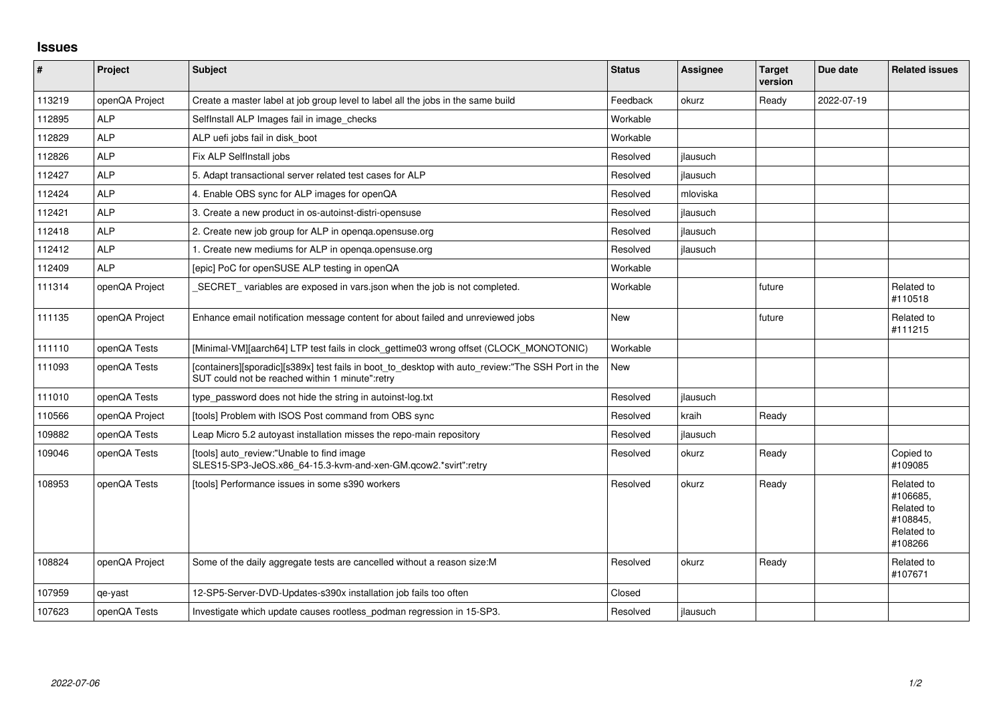## **Issues**

| $\vert$ # | Project        | <b>Subject</b>                                                                                                                                       | <b>Status</b> | <b>Assignee</b> | <b>Target</b><br>version | Due date   | <b>Related issues</b>                                                     |
|-----------|----------------|------------------------------------------------------------------------------------------------------------------------------------------------------|---------------|-----------------|--------------------------|------------|---------------------------------------------------------------------------|
| 113219    | openQA Project | Create a master label at job group level to label all the jobs in the same build                                                                     | Feedback      | okurz           | Ready                    | 2022-07-19 |                                                                           |
| 112895    | <b>ALP</b>     | SelfInstall ALP Images fail in image_checks                                                                                                          | Workable      |                 |                          |            |                                                                           |
| 112829    | <b>ALP</b>     | ALP uefi jobs fail in disk boot                                                                                                                      | Workable      |                 |                          |            |                                                                           |
| 112826    | <b>ALP</b>     | Fix ALP SelfInstall jobs                                                                                                                             | Resolved      | ilausuch        |                          |            |                                                                           |
| 112427    | <b>ALP</b>     | 5. Adapt transactional server related test cases for ALP                                                                                             | Resolved      | ilausuch        |                          |            |                                                                           |
| 112424    | <b>ALP</b>     | 4. Enable OBS sync for ALP images for openQA                                                                                                         | Resolved      | mloviska        |                          |            |                                                                           |
| 112421    | <b>ALP</b>     | 3. Create a new product in os-autoinst-distri-opensuse                                                                                               | Resolved      | ilausuch        |                          |            |                                                                           |
| 112418    | <b>ALP</b>     | 2. Create new job group for ALP in openga.opensuse.org                                                                                               | Resolved      | ilausuch        |                          |            |                                                                           |
| 112412    | <b>ALP</b>     | 1. Create new mediums for ALP in openga.opensuse.org                                                                                                 | Resolved      | ilausuch        |                          |            |                                                                           |
| 112409    | <b>ALP</b>     | [epic] PoC for openSUSE ALP testing in openQA                                                                                                        | Workable      |                 |                          |            |                                                                           |
| 111314    | openQA Project | SECRET_variables are exposed in vars.json when the job is not completed.                                                                             | Workable      |                 | future                   |            | Related to<br>#110518                                                     |
| 111135    | openQA Project | Enhance email notification message content for about failed and unreviewed jobs                                                                      | <b>New</b>    |                 | future                   |            | Related to<br>#111215                                                     |
| 111110    | openQA Tests   | [Minimal-VM][aarch64] LTP test fails in clock_gettime03 wrong offset (CLOCK_MONOTONIC)                                                               | Workable      |                 |                          |            |                                                                           |
| 111093    | openQA Tests   | [containers][sporadic][s389x] test fails in boot to desktop with auto review:"The SSH Port in the<br>SUT could not be reached within 1 minute":retry | New           |                 |                          |            |                                                                           |
| 111010    | openQA Tests   | type_password does not hide the string in autoinst-log.txt                                                                                           | Resolved      | jlausuch        |                          |            |                                                                           |
| 110566    | openQA Project | [tools] Problem with ISOS Post command from OBS sync                                                                                                 | Resolved      | kraih           | Ready                    |            |                                                                           |
| 109882    | openQA Tests   | Leap Micro 5.2 autoyast installation misses the repo-main repository                                                                                 | Resolved      | jlausuch        |                          |            |                                                                           |
| 109046    | openQA Tests   | [tools] auto_review:"Unable to find image<br>SLES15-SP3-JeOS.x86_64-15.3-kvm-and-xen-GM.qcow2.*svirt":retry                                          | Resolved      | okurz           | Ready                    |            | Copied to<br>#109085                                                      |
| 108953    | openQA Tests   | [tools] Performance issues in some s390 workers                                                                                                      | Resolved      | okurz           | Ready                    |            | Related to<br>#106685,<br>Related to<br>#108845.<br>Related to<br>#108266 |
| 108824    | openQA Project | Some of the daily aggregate tests are cancelled without a reason size:M                                                                              | Resolved      | okurz           | Ready                    |            | Related to<br>#107671                                                     |
| 107959    | qe-yast        | 12-SP5-Server-DVD-Updates-s390x installation job fails too often                                                                                     | Closed        |                 |                          |            |                                                                           |
| 107623    | openQA Tests   | Investigate which update causes rootless_podman regression in 15-SP3.                                                                                | Resolved      | ilausuch        |                          |            |                                                                           |